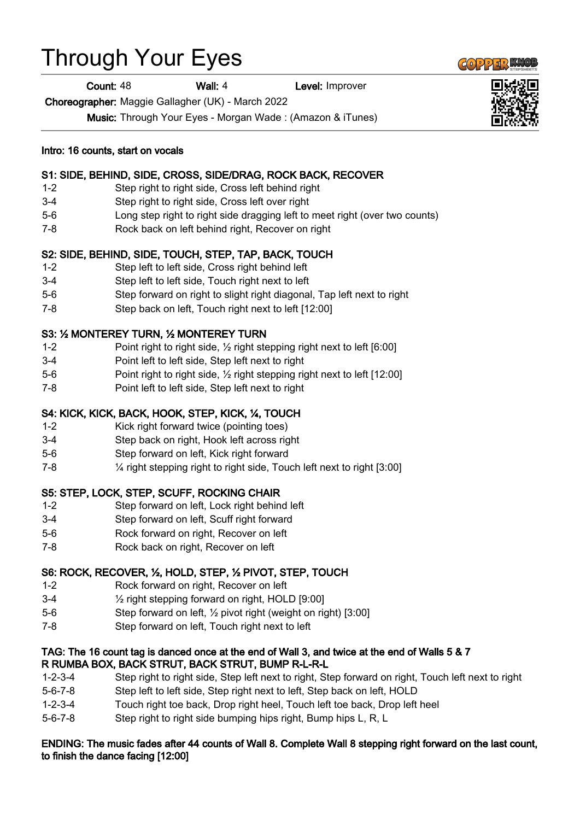# Through Your Eyes

**Count: 48 Wall: 4 Level: Improver** 

Choreographer: Maggie Gallagher (UK) - March 2022

Music: Through Your Eyes - Morgan Wade : (Amazon & iTunes)

Intro: 16 counts, start on vocals

## S1: SIDE, BEHIND, SIDE, CROSS, SIDE/DRAG, ROCK BACK, RECOVER

- 1-2 Step right to right side, Cross left behind right
- 3-4 Step right to right side, Cross left over right
- 5-6 Long step right to right side dragging left to meet right (over two counts)
- 7-8 Rock back on left behind right, Recover on right

# S2: SIDE, BEHIND, SIDE, TOUCH, STEP, TAP, BACK, TOUCH

- 1-2 Step left to left side, Cross right behind left
- 3-4 Step left to left side, Touch right next to left
- 5-6 Step forward on right to slight right diagonal, Tap left next to right
- 7-8 Step back on left, Touch right next to left [12:00]

# S3: ½ MONTEREY TURN, ½ MONTEREY TURN

- 1-2 Point right to right side, ½ right stepping right next to left [6:00]
- 3-4 Point left to left side, Step left next to right
- 5-6 Point right to right side, ½ right stepping right next to left [12:00]
- 7-8 Point left to left side, Step left next to right

# S4: KICK, KICK, BACK, HOOK, STEP, KICK, ¼, TOUCH

- 1-2 Kick right forward twice (pointing toes)
- 3-4 Step back on right, Hook left across right
- 5-6 Step forward on left, Kick right forward
- 7-8 ¼ right stepping right to right side, Touch left next to right [3:00]

### S5: STEP, LOCK, STEP, SCUFF, ROCKING CHAIR

- 1-2 Step forward on left, Lock right behind left
- 3-4 Step forward on left, Scuff right forward
- 5-6 Rock forward on right, Recover on left
- 7-8 Rock back on right, Recover on left

### S6: ROCK, RECOVER, ½, HOLD, STEP, ½ PIVOT, STEP, TOUCH

- 1-2 Rock forward on right, Recover on left
- 3-4 ½ right stepping forward on right, HOLD [9:00]
- 5-6 Step forward on left, ½ pivot right (weight on right) [3:00]
- 7-8 Step forward on left, Touch right next to left

#### TAG: The 16 count tag is danced once at the end of Wall 3, and twice at the end of Walls 5 & 7 R RUMBA BOX, BACK STRUT, BACK STRUT, BUMP R-L-R-L

- 1-2-3-4 Step right to right side, Step left next to right, Step forward on right, Touch left next to right
- 5-6-7-8 Step left to left side, Step right next to left, Step back on left, HOLD
- 1-2-3-4 Touch right toe back, Drop right heel, Touch left toe back, Drop left heel
- 5-6-7-8 Step right to right side bumping hips right, Bump hips L, R, L

#### ENDING: The music fades after 44 counts of Wall 8. Complete Wall 8 stepping right forward on the last count, to finish the dance facing [12:00]